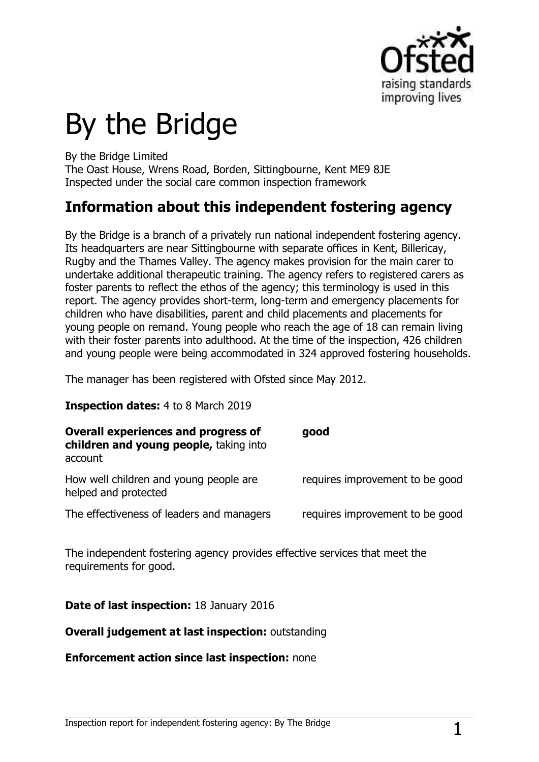

# By the Bridge

By the Bridge Limited

The Oast House, Wrens Road, Borden, Sittingbourne, Kent ME9 8JE Inspected under the social care common inspection framework

## **Information about this independent fostering agency**

By the Bridge is a branch of a privately run national independent fostering agency. Its headquarters are near Sittingbourne with separate offices in Kent, Billericay, Rugby and the Thames Valley. The agency makes provision for the main carer to undertake additional therapeutic training. The agency refers to registered carers as foster parents to reflect the ethos of the agency; this terminology is used in this report. The agency provides short-term, long-term and emergency placements for children who have disabilities, parent and child placements and placements for young people on remand. Young people who reach the age of 18 can remain living with their foster parents into adulthood. At the time of the inspection, 426 children and young people were being accommodated in 324 approved fostering households.

The manager has been registered with Ofsted since May 2012.

#### **Inspection dates:** 4 to 8 March 2019

| <b>Overall experiences and progress of</b><br>children and young people, taking into<br>account | good                            |
|-------------------------------------------------------------------------------------------------|---------------------------------|
| How well children and young people are<br>helped and protected                                  | requires improvement to be good |
| The effectiveness of leaders and managers                                                       | requires improvement to be good |

The independent fostering agency provides effective services that meet the requirements for good.

#### **Date of last inspection:** 18 January 2016

#### **Overall judgement at last inspection:** outstanding

#### **Enforcement action since last inspection:** none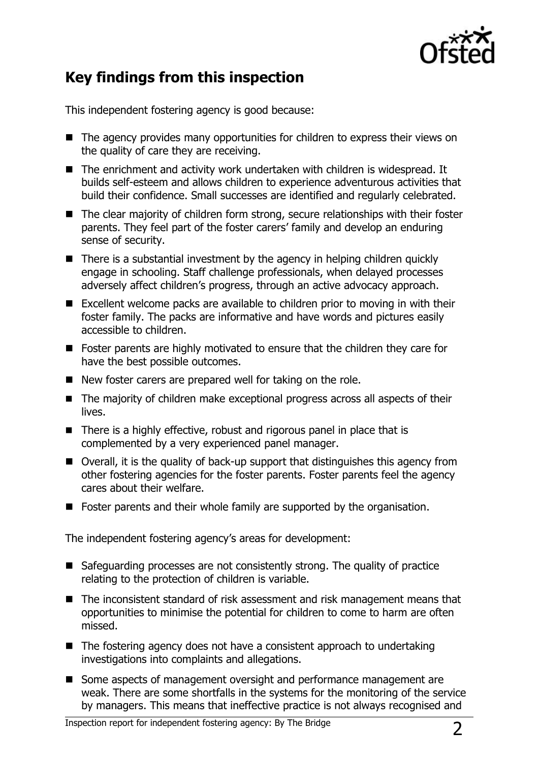

# **Key findings from this inspection**

This independent fostering agency is good because:

- The agency provides many opportunities for children to express their views on the quality of care they are receiving.
- The enrichment and activity work undertaken with children is widespread. It builds self-esteem and allows children to experience adventurous activities that build their confidence. Small successes are identified and regularly celebrated.
- The clear majority of children form strong, secure relationships with their foster parents. They feel part of the foster carers' family and develop an enduring sense of security.
- $\blacksquare$  There is a substantial investment by the agency in helping children quickly engage in schooling. Staff challenge professionals, when delayed processes adversely affect children's progress, through an active advocacy approach.
- Excellent welcome packs are available to children prior to moving in with their foster family. The packs are informative and have words and pictures easily accessible to children.
- Foster parents are highly motivated to ensure that the children they care for have the best possible outcomes.
- New foster carers are prepared well for taking on the role.
- The majority of children make exceptional progress across all aspects of their lives.
- There is a highly effective, robust and rigorous panel in place that is complemented by a very experienced panel manager.
- Overall, it is the quality of back-up support that distinguishes this agency from other fostering agencies for the foster parents. Foster parents feel the agency cares about their welfare.
- Foster parents and their whole family are supported by the organisation.

The independent fostering agency's areas for development:

- Safeguarding processes are not consistently strong. The quality of practice relating to the protection of children is variable.
- The inconsistent standard of risk assessment and risk management means that opportunities to minimise the potential for children to come to harm are often missed.
- $\blacksquare$  The fostering agency does not have a consistent approach to undertaking investigations into complaints and allegations.
- Some aspects of management oversight and performance management are weak. There are some shortfalls in the systems for the monitoring of the service by managers. This means that ineffective practice is not always recognised and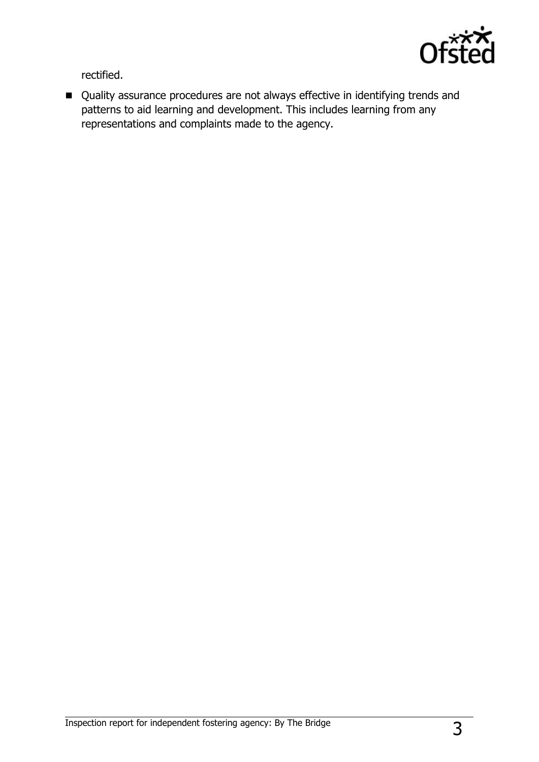

rectified.

■ Quality assurance procedures are not always effective in identifying trends and patterns to aid learning and development. This includes learning from any representations and complaints made to the agency.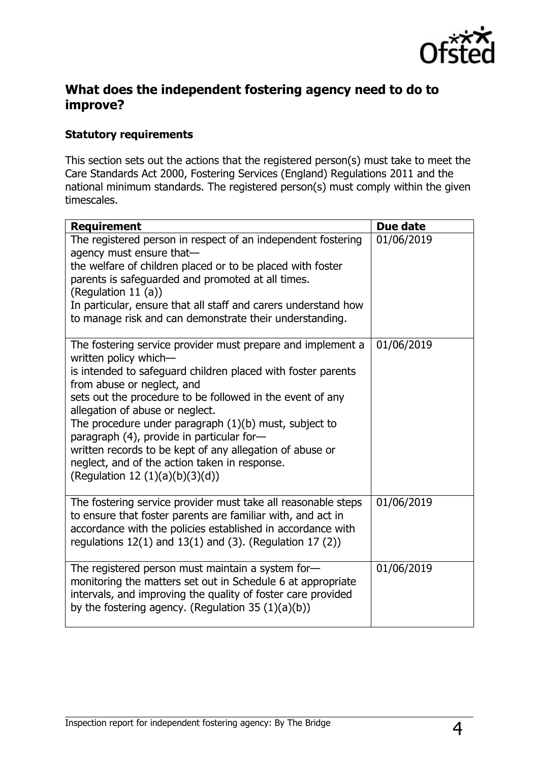

### **What does the independent fostering agency need to do to improve?**

#### **Statutory requirements**

This section sets out the actions that the registered person(s) must take to meet the Care Standards Act 2000, Fostering Services (England) Regulations 2011 and the national minimum standards. The registered person(s) must comply within the given timescales.

| <b>Requirement</b>                                                                                                                                                                                                                                                                                                                                                                                                                                                                                                                          | Due date   |
|---------------------------------------------------------------------------------------------------------------------------------------------------------------------------------------------------------------------------------------------------------------------------------------------------------------------------------------------------------------------------------------------------------------------------------------------------------------------------------------------------------------------------------------------|------------|
| The registered person in respect of an independent fostering<br>agency must ensure that-<br>the welfare of children placed or to be placed with foster<br>parents is safeguarded and promoted at all times.<br>(Regulation 11 $(a)$ )<br>In particular, ensure that all staff and carers understand how<br>to manage risk and can demonstrate their understanding.                                                                                                                                                                          | 01/06/2019 |
| The fostering service provider must prepare and implement a<br>written policy which-<br>is intended to safeguard children placed with foster parents<br>from abuse or neglect, and<br>sets out the procedure to be followed in the event of any<br>allegation of abuse or neglect.<br>The procedure under paragraph (1)(b) must, subject to<br>paragraph (4), provide in particular for-<br>written records to be kept of any allegation of abuse or<br>neglect, and of the action taken in response.<br>(Regulation 12 $(1)(a)(b)(3)(d)$ ) | 01/06/2019 |
| The fostering service provider must take all reasonable steps<br>to ensure that foster parents are familiar with, and act in<br>accordance with the policies established in accordance with<br>regulations $12(1)$ and $13(1)$ and (3). (Regulation 17 (2))                                                                                                                                                                                                                                                                                 | 01/06/2019 |
| The registered person must maintain a system for-<br>monitoring the matters set out in Schedule 6 at appropriate<br>intervals, and improving the quality of foster care provided<br>by the fostering agency. (Regulation 35 $(1)(a)(b)$ )                                                                                                                                                                                                                                                                                                   | 01/06/2019 |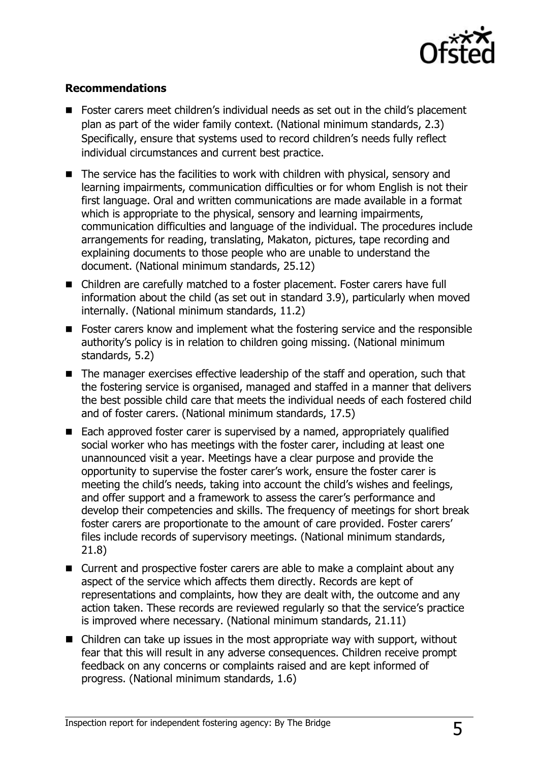

#### **Recommendations**

- Foster carers meet children's individual needs as set out in the child's placement plan as part of the wider family context. (National minimum standards, 2.3) Specifically, ensure that systems used to record children's needs fully reflect individual circumstances and current best practice.
- The service has the facilities to work with children with physical, sensory and learning impairments, communication difficulties or for whom English is not their first language. Oral and written communications are made available in a format which is appropriate to the physical, sensory and learning impairments, communication difficulties and language of the individual. The procedures include arrangements for reading, translating, Makaton, pictures, tape recording and explaining documents to those people who are unable to understand the document. (National minimum standards, 25.12)
- Children are carefully matched to a foster placement. Foster carers have full information about the child (as set out in standard 3.9), particularly when moved internally. (National minimum standards, 11.2)
- Foster carers know and implement what the fostering service and the responsible authority's policy is in relation to children going missing. (National minimum standards, 5.2)
- The manager exercises effective leadership of the staff and operation, such that the fostering service is organised, managed and staffed in a manner that delivers the best possible child care that meets the individual needs of each fostered child and of foster carers. (National minimum standards, 17.5)
- Each approved foster carer is supervised by a named, appropriately qualified social worker who has meetings with the foster carer, including at least one unannounced visit a year. Meetings have a clear purpose and provide the opportunity to supervise the foster carer's work, ensure the foster carer is meeting the child's needs, taking into account the child's wishes and feelings, and offer support and a framework to assess the carer's performance and develop their competencies and skills. The frequency of meetings for short break foster carers are proportionate to the amount of care provided. Foster carers' files include records of supervisory meetings. (National minimum standards, 21.8)
- Current and prospective foster carers are able to make a complaint about any aspect of the service which affects them directly. Records are kept of representations and complaints, how they are dealt with, the outcome and any action taken. These records are reviewed regularly so that the service's practice is improved where necessary. (National minimum standards, 21.11)
- Children can take up issues in the most appropriate way with support, without fear that this will result in any adverse consequences. Children receive prompt feedback on any concerns or complaints raised and are kept informed of progress. (National minimum standards, 1.6)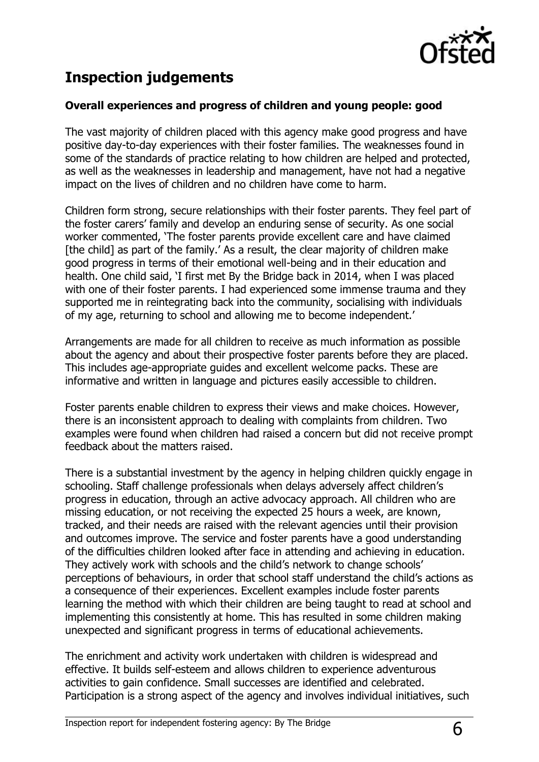

## **Inspection judgements**

#### **Overall experiences and progress of children and young people: good**

The vast majority of children placed with this agency make good progress and have positive day-to-day experiences with their foster families. The weaknesses found in some of the standards of practice relating to how children are helped and protected, as well as the weaknesses in leadership and management, have not had a negative impact on the lives of children and no children have come to harm.

Children form strong, secure relationships with their foster parents. They feel part of the foster carers' family and develop an enduring sense of security. As one social worker commented, 'The foster parents provide excellent care and have claimed [the child] as part of the family.' As a result, the clear majority of children make good progress in terms of their emotional well-being and in their education and health. One child said, 'I first met By the Bridge back in 2014, when I was placed with one of their foster parents. I had experienced some immense trauma and they supported me in reintegrating back into the community, socialising with individuals of my age, returning to school and allowing me to become independent.'

Arrangements are made for all children to receive as much information as possible about the agency and about their prospective foster parents before they are placed. This includes age-appropriate guides and excellent welcome packs. These are informative and written in language and pictures easily accessible to children.

Foster parents enable children to express their views and make choices. However, there is an inconsistent approach to dealing with complaints from children. Two examples were found when children had raised a concern but did not receive prompt feedback about the matters raised.

There is a substantial investment by the agency in helping children quickly engage in schooling. Staff challenge professionals when delays adversely affect children's progress in education, through an active advocacy approach. All children who are missing education, or not receiving the expected 25 hours a week, are known, tracked, and their needs are raised with the relevant agencies until their provision and outcomes improve. The service and foster parents have a good understanding of the difficulties children looked after face in attending and achieving in education. They actively work with schools and the child's network to change schools' perceptions of behaviours, in order that school staff understand the child's actions as a consequence of their experiences. Excellent examples include foster parents learning the method with which their children are being taught to read at school and implementing this consistently at home. This has resulted in some children making unexpected and significant progress in terms of educational achievements.

The enrichment and activity work undertaken with children is widespread and effective. It builds self-esteem and allows children to experience adventurous activities to gain confidence. Small successes are identified and celebrated. Participation is a strong aspect of the agency and involves individual initiatives, such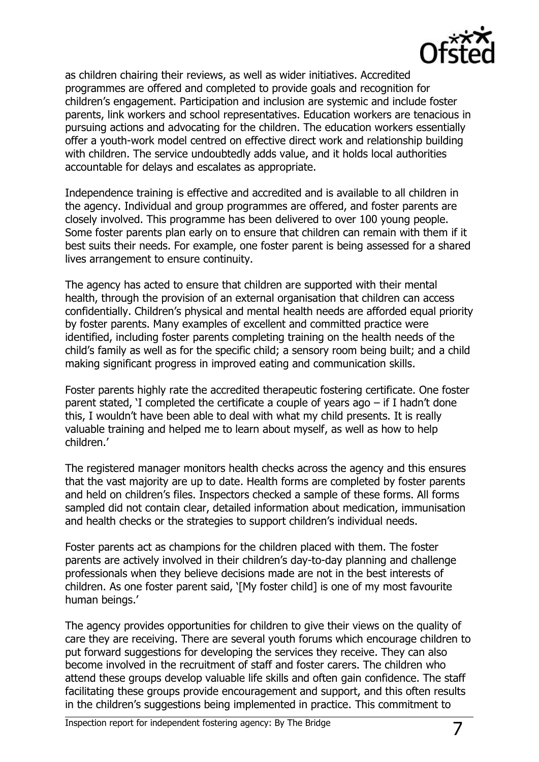

as children chairing their reviews, as well as wider initiatives. Accredited programmes are offered and completed to provide goals and recognition for children's engagement. Participation and inclusion are systemic and include foster parents, link workers and school representatives. Education workers are tenacious in pursuing actions and advocating for the children. The education workers essentially offer a youth-work model centred on effective direct work and relationship building with children. The service undoubtedly adds value, and it holds local authorities accountable for delays and escalates as appropriate.

Independence training is effective and accredited and is available to all children in the agency. Individual and group programmes are offered, and foster parents are closely involved. This programme has been delivered to over 100 young people. Some foster parents plan early on to ensure that children can remain with them if it best suits their needs. For example, one foster parent is being assessed for a shared lives arrangement to ensure continuity.

The agency has acted to ensure that children are supported with their mental health, through the provision of an external organisation that children can access confidentially. Children's physical and mental health needs are afforded equal priority by foster parents. Many examples of excellent and committed practice were identified, including foster parents completing training on the health needs of the child's family as well as for the specific child; a sensory room being built; and a child making significant progress in improved eating and communication skills.

Foster parents highly rate the accredited therapeutic fostering certificate. One foster parent stated, 'I completed the certificate a couple of years ago – if I hadn't done this, I wouldn't have been able to deal with what my child presents. It is really valuable training and helped me to learn about myself, as well as how to help children.'

The registered manager monitors health checks across the agency and this ensures that the vast majority are up to date. Health forms are completed by foster parents and held on children's files. Inspectors checked a sample of these forms. All forms sampled did not contain clear, detailed information about medication, immunisation and health checks or the strategies to support children's individual needs.

Foster parents act as champions for the children placed with them. The foster parents are actively involved in their children's day-to-day planning and challenge professionals when they believe decisions made are not in the best interests of children. As one foster parent said, '[My foster child] is one of my most favourite human beings.'

The agency provides opportunities for children to give their views on the quality of care they are receiving. There are several youth forums which encourage children to put forward suggestions for developing the services they receive. They can also become involved in the recruitment of staff and foster carers. The children who attend these groups develop valuable life skills and often gain confidence. The staff facilitating these groups provide encouragement and support, and this often results in the children's suggestions being implemented in practice. This commitment to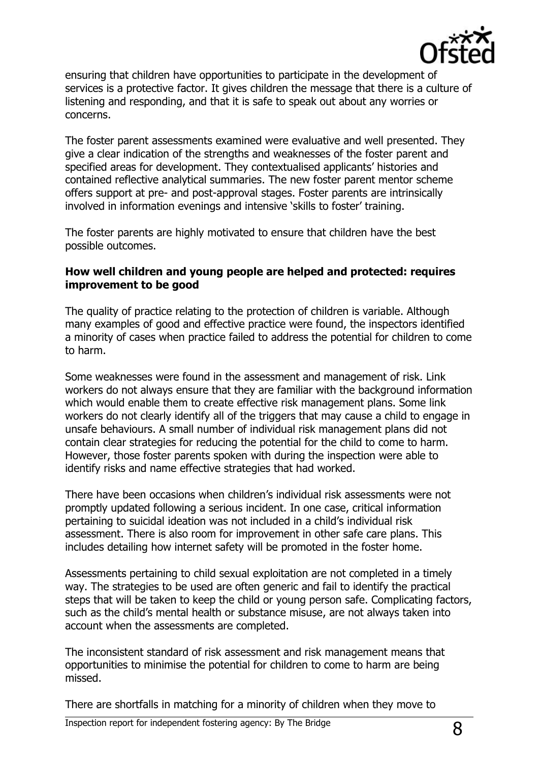

ensuring that children have opportunities to participate in the development of services is a protective factor. It gives children the message that there is a culture of listening and responding, and that it is safe to speak out about any worries or concerns.

The foster parent assessments examined were evaluative and well presented. They give a clear indication of the strengths and weaknesses of the foster parent and specified areas for development. They contextualised applicants' histories and contained reflective analytical summaries. The new foster parent mentor scheme offers support at pre- and post-approval stages. Foster parents are intrinsically involved in information evenings and intensive 'skills to foster' training.

The foster parents are highly motivated to ensure that children have the best possible outcomes.

#### **How well children and young people are helped and protected: requires improvement to be good**

The quality of practice relating to the protection of children is variable. Although many examples of good and effective practice were found, the inspectors identified a minority of cases when practice failed to address the potential for children to come to harm.

Some weaknesses were found in the assessment and management of risk. Link workers do not always ensure that they are familiar with the background information which would enable them to create effective risk management plans. Some link workers do not clearly identify all of the triggers that may cause a child to engage in unsafe behaviours. A small number of individual risk management plans did not contain clear strategies for reducing the potential for the child to come to harm. However, those foster parents spoken with during the inspection were able to identify risks and name effective strategies that had worked.

There have been occasions when children's individual risk assessments were not promptly updated following a serious incident. In one case, critical information pertaining to suicidal ideation was not included in a child's individual risk assessment. There is also room for improvement in other safe care plans. This includes detailing how internet safety will be promoted in the foster home.

Assessments pertaining to child sexual exploitation are not completed in a timely way. The strategies to be used are often generic and fail to identify the practical steps that will be taken to keep the child or young person safe. Complicating factors, such as the child's mental health or substance misuse, are not always taken into account when the assessments are completed.

The inconsistent standard of risk assessment and risk management means that opportunities to minimise the potential for children to come to harm are being missed.

There are shortfalls in matching for a minority of children when they move to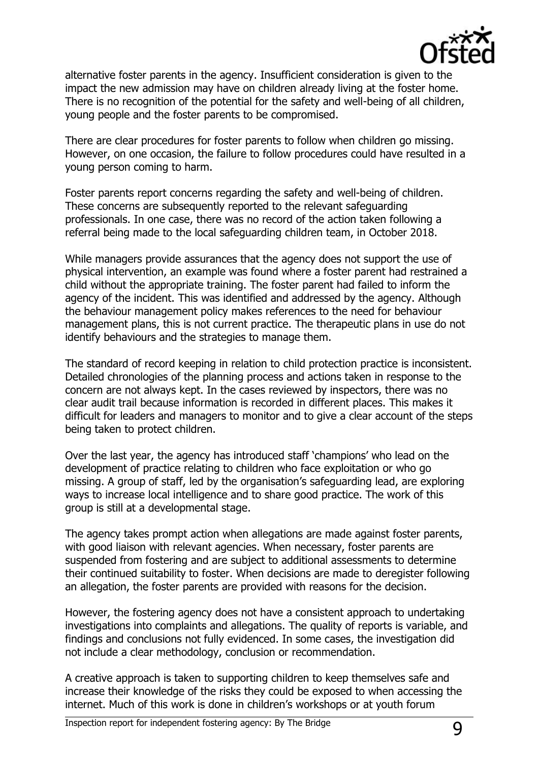

alternative foster parents in the agency. Insufficient consideration is given to the impact the new admission may have on children already living at the foster home. There is no recognition of the potential for the safety and well-being of all children, young people and the foster parents to be compromised.

There are clear procedures for foster parents to follow when children go missing. However, on one occasion, the failure to follow procedures could have resulted in a young person coming to harm.

Foster parents report concerns regarding the safety and well-being of children. These concerns are subsequently reported to the relevant safeguarding professionals. In one case, there was no record of the action taken following a referral being made to the local safeguarding children team, in October 2018.

While managers provide assurances that the agency does not support the use of physical intervention, an example was found where a foster parent had restrained a child without the appropriate training. The foster parent had failed to inform the agency of the incident. This was identified and addressed by the agency. Although the behaviour management policy makes references to the need for behaviour management plans, this is not current practice. The therapeutic plans in use do not identify behaviours and the strategies to manage them.

The standard of record keeping in relation to child protection practice is inconsistent. Detailed chronologies of the planning process and actions taken in response to the concern are not always kept. In the cases reviewed by inspectors, there was no clear audit trail because information is recorded in different places. This makes it difficult for leaders and managers to monitor and to give a clear account of the steps being taken to protect children.

Over the last year, the agency has introduced staff 'champions' who lead on the development of practice relating to children who face exploitation or who go missing. A group of staff, led by the organisation's safeguarding lead, are exploring ways to increase local intelligence and to share good practice. The work of this group is still at a developmental stage.

The agency takes prompt action when allegations are made against foster parents, with good liaison with relevant agencies. When necessary, foster parents are suspended from fostering and are subject to additional assessments to determine their continued suitability to foster. When decisions are made to deregister following an allegation, the foster parents are provided with reasons for the decision.

However, the fostering agency does not have a consistent approach to undertaking investigations into complaints and allegations. The quality of reports is variable, and findings and conclusions not fully evidenced. In some cases, the investigation did not include a clear methodology, conclusion or recommendation.

A creative approach is taken to supporting children to keep themselves safe and increase their knowledge of the risks they could be exposed to when accessing the internet. Much of this work is done in children's workshops or at youth forum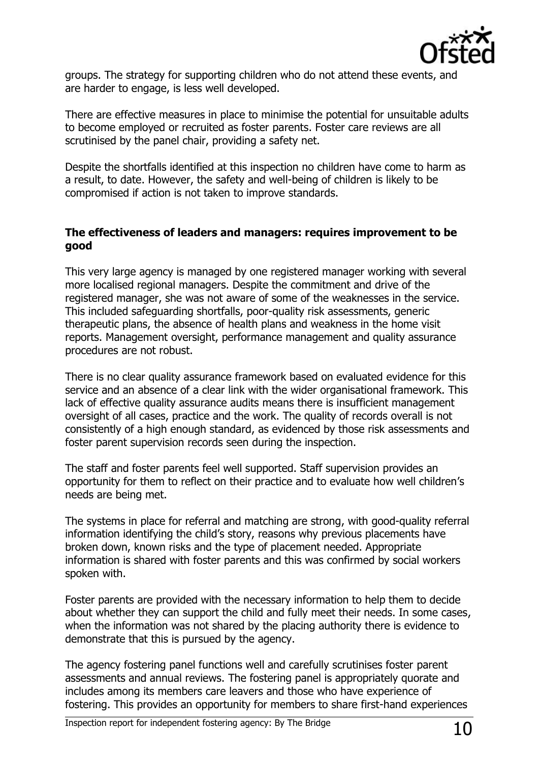

groups. The strategy for supporting children who do not attend these events, and are harder to engage, is less well developed.

There are effective measures in place to minimise the potential for unsuitable adults to become employed or recruited as foster parents. Foster care reviews are all scrutinised by the panel chair, providing a safety net.

Despite the shortfalls identified at this inspection no children have come to harm as a result, to date. However, the safety and well-being of children is likely to be compromised if action is not taken to improve standards.

#### **The effectiveness of leaders and managers: requires improvement to be good**

This very large agency is managed by one registered manager working with several more localised regional managers. Despite the commitment and drive of the registered manager, she was not aware of some of the weaknesses in the service. This included safeguarding shortfalls, poor-quality risk assessments, generic therapeutic plans, the absence of health plans and weakness in the home visit reports. Management oversight, performance management and quality assurance procedures are not robust.

There is no clear quality assurance framework based on evaluated evidence for this service and an absence of a clear link with the wider organisational framework. This lack of effective quality assurance audits means there is insufficient management oversight of all cases, practice and the work. The quality of records overall is not consistently of a high enough standard, as evidenced by those risk assessments and foster parent supervision records seen during the inspection.

The staff and foster parents feel well supported. Staff supervision provides an opportunity for them to reflect on their practice and to evaluate how well children's needs are being met.

The systems in place for referral and matching are strong, with good-quality referral information identifying the child's story, reasons why previous placements have broken down, known risks and the type of placement needed. Appropriate information is shared with foster parents and this was confirmed by social workers spoken with.

Foster parents are provided with the necessary information to help them to decide about whether they can support the child and fully meet their needs. In some cases, when the information was not shared by the placing authority there is evidence to demonstrate that this is pursued by the agency.

The agency fostering panel functions well and carefully scrutinises foster parent assessments and annual reviews. The fostering panel is appropriately quorate and includes among its members care leavers and those who have experience of fostering. This provides an opportunity for members to share first-hand experiences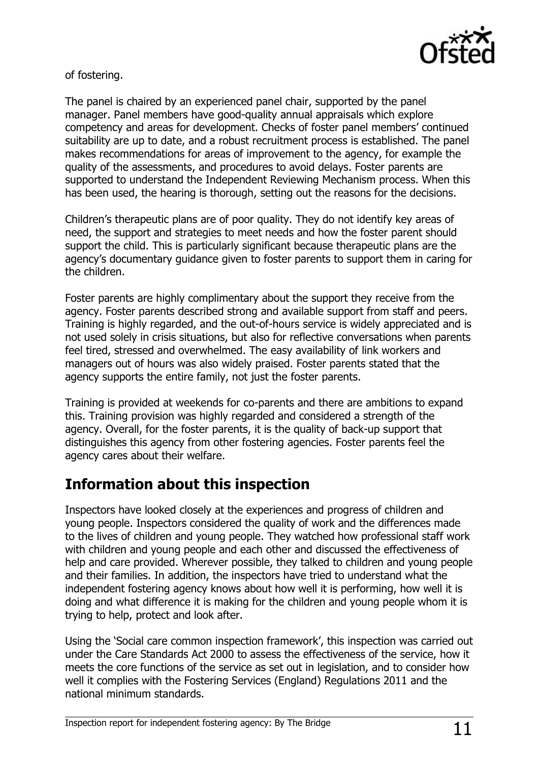

of fostering.

The panel is chaired by an experienced panel chair, supported by the panel manager. Panel members have good-quality annual appraisals which explore competency and areas for development. Checks of foster panel members' continued suitability are up to date, and a robust recruitment process is established. The panel makes recommendations for areas of improvement to the agency, for example the quality of the assessments, and procedures to avoid delays. Foster parents are supported to understand the Independent Reviewing Mechanism process. When this has been used, the hearing is thorough, setting out the reasons for the decisions.

Children's therapeutic plans are of poor quality. They do not identify key areas of need, the support and strategies to meet needs and how the foster parent should support the child. This is particularly significant because therapeutic plans are the agency's documentary guidance given to foster parents to support them in caring for the children.

Foster parents are highly complimentary about the support they receive from the agency. Foster parents described strong and available support from staff and peers. Training is highly regarded, and the out-of-hours service is widely appreciated and is not used solely in crisis situations, but also for reflective conversations when parents feel tired, stressed and overwhelmed. The easy availability of link workers and managers out of hours was also widely praised. Foster parents stated that the agency supports the entire family, not just the foster parents.

Training is provided at weekends for co-parents and there are ambitions to expand this. Training provision was highly regarded and considered a strength of the agency. Overall, for the foster parents, it is the quality of back-up support that distinguishes this agency from other fostering agencies. Foster parents feel the agency cares about their welfare.

## **Information about this inspection**

Inspectors have looked closely at the experiences and progress of children and young people. Inspectors considered the quality of work and the differences made to the lives of children and young people. They watched how professional staff work with children and young people and each other and discussed the effectiveness of help and care provided. Wherever possible, they talked to children and young people and their families. In addition, the inspectors have tried to understand what the independent fostering agency knows about how well it is performing, how well it is doing and what difference it is making for the children and young people whom it is trying to help, protect and look after.

Using the 'Social care common inspection framework', this inspection was carried out under the Care Standards Act 2000 to assess the effectiveness of the service, how it meets the core functions of the service as set out in legislation, and to consider how well it complies with the Fostering Services (England) Regulations 2011 and the national minimum standards.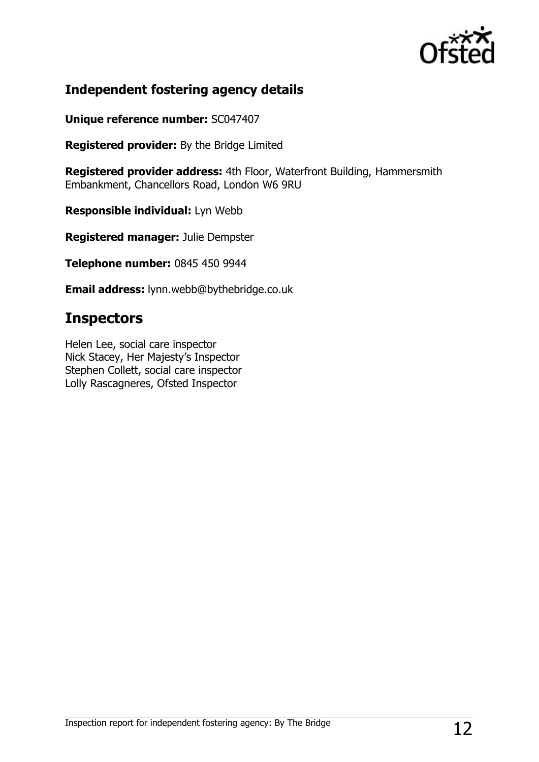

## **Independent fostering agency details**

**Unique reference number:** SC047407

**Registered provider:** By the Bridge Limited

**Registered provider address:** 4th Floor, Waterfront Building, Hammersmith Embankment, Chancellors Road, London W6 9RU

**Responsible individual:** Lyn Webb

**Registered manager:** Julie Dempster

**Telephone number:** 0845 450 9944

**Email address:** lynn.webb@bythebridge.co.uk

## **Inspectors**

Helen Lee, social care inspector Nick Stacey, Her Majesty's Inspector Stephen Collett, social care inspector Lolly Rascagneres, Ofsted Inspector